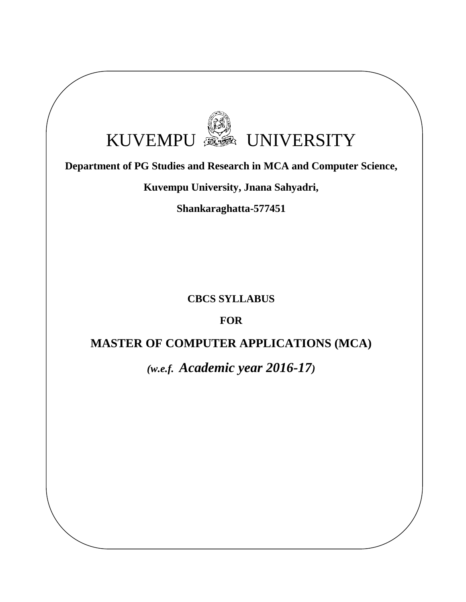# KUVEMPU SA UNIVERSITY

# **Department of PG Studies and Research in MCA and Computer Science,**

**Kuvempu University, Jnana Sahyadri,** 

**Shankaraghatta-577451**

**CBCS SYLLABUS**

**FOR** 

# **MASTER OF COMPUTER APPLICATIONS (MCA)**

*(w.e.f. Academic year 2016-17)*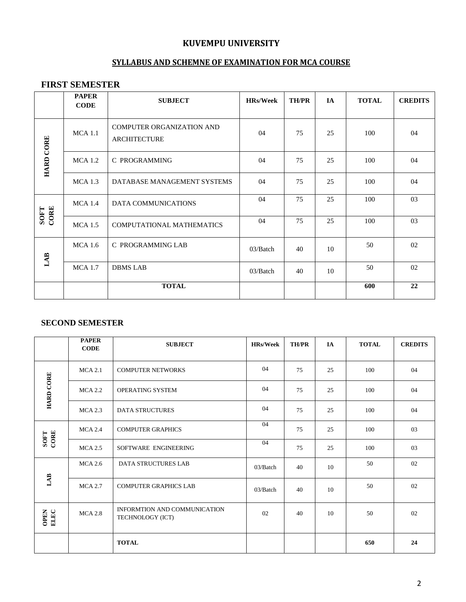# **KUVEMPU UNIVERSITY**

# **SYLLABUS AND SCHEMNE OF EXAMINATION FOR MCA COURSE**

# **FIRST SEMESTER**

|                  | <b>PAPER</b><br><b>CODE</b> | <b>SUBJECT</b>                                   | <b>HRs/Week</b> | <b>TH/PR</b> | IA | <b>TOTAL</b> | <b>CREDITS</b> |
|------------------|-----------------------------|--------------------------------------------------|-----------------|--------------|----|--------------|----------------|
| <b>HARD CORE</b> | MCA1.1                      | COMPUTER ORGANIZATION AND<br><b>ARCHITECTURE</b> | 04              | 75           | 25 | 100          | 04             |
|                  | MCA1.2                      | C PROGRAMMING                                    | 04              | 75           | 25 | 100          | 04             |
|                  | MCA1.3                      | DATABASE MANAGEMENT SYSTEMS                      | 04              | 75           | 25 | 100          | 04             |
| SOFT<br>CORE     | MCA1.4                      | DATA COMMUNICATIONS                              | 04              | 75           | 25 | 100          | 03             |
|                  | MCA1.5                      | COMPUTATIONAL MATHEMATICS                        | 04              | 75           | 25 | 100          | 03             |
| LAB              | MCA1.6                      | C PROGRAMMING LAB                                | 03/Batch        | 40           | 10 | 50           | 02             |
|                  | <b>MCA 1.7</b>              | <b>DBMS LAB</b>                                  | 03/Batch        | 40           | 10 | 50           | 02             |
|                  |                             | <b>TOTAL</b>                                     |                 |              |    | 600          | 22             |

#### **SECOND SEMESTER**

|                     | <b>PAPER</b><br><b>CODE</b> | <b>SUBJECT</b>                                   | <b>HRs/Week</b> | <b>TH/PR</b> | IA | <b>TOTAL</b> | <b>CREDITS</b> |
|---------------------|-----------------------------|--------------------------------------------------|-----------------|--------------|----|--------------|----------------|
|                     | MCA 2.1                     | <b>COMPUTER NETWORKS</b>                         | 04              | 75           | 25 | 100          | 04             |
| <b>HARD CORE</b>    | <b>MCA 2.2</b>              | OPERATING SYSTEM                                 | 04              | 75           | 25 | 100          | 04             |
|                     | $MCA$ 2.3                   | <b>DATA STRUCTURES</b>                           | 04              | 75           | 25 | 100          | 04             |
| SOFT<br>CORE        | $MCA$ 2.4                   | <b>COMPUTER GRAPHICS</b>                         | 04              | 75           | 25 | 100          | 03             |
|                     | $MCA$ 2.5                   | SOFTWARE ENGINEERING                             | 04              | 75           | 25 | 100          | 03             |
| $\mathbf{LAB}$      | $MCA$ 2.6                   | <b>DATA STRUCTURES LAB</b>                       | 03/Batch        | 40           | 10 | 50           | 02             |
|                     | <b>MCA 2.7</b>              | <b>COMPUTER GRAPHICS LAB</b>                     | 03/Batch        | 40           | 10 | 50           | 02             |
| <b>OPEN</b><br>ELEC | <b>MCA 2.8</b>              | INFORMTION AND COMMUNICATION<br>TECHNOLOGY (ICT) | 02              | 40           | 10 | 50           | 02             |
|                     |                             | <b>TOTAL</b>                                     |                 |              |    | 650          | 24             |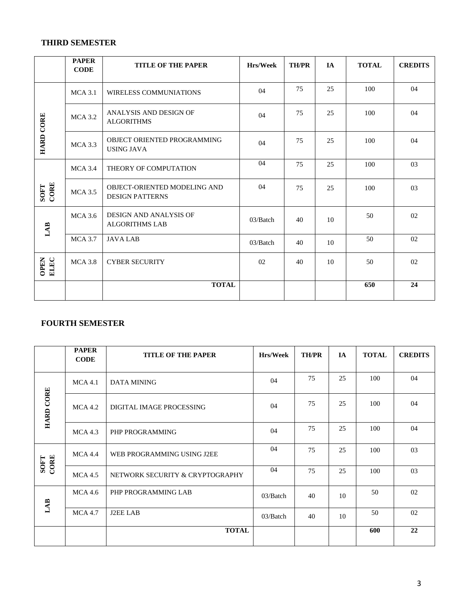#### **THIRD SEMESTER**

|                     | <b>PAPER</b><br><b>CODE</b> | <b>TITLE OF THE PAPER</b>                              | Hrs/Week | <b>TH/PR</b> | IA | <b>TOTAL</b> | <b>CREDITS</b> |
|---------------------|-----------------------------|--------------------------------------------------------|----------|--------------|----|--------------|----------------|
|                     | $MCA$ 3.1                   | <b>WIRELESS COMMUNIATIONS</b>                          | 04       | 75           | 25 | 100          | 04             |
| <b>HARD CORE</b>    | $MCA$ 3.2                   | ANALYSIS AND DESIGN OF<br><b>ALGORITHMS</b>            | 04       | 75           | 25 | 100          | 04             |
|                     | $MCA$ 3.3                   | OBJECT ORIENTED PROGRAMMING<br><b>USING JAVA</b>       | 04       | 75           | 25 | 100          | 04             |
| SOFT<br>CORE        | $MCA$ 3.4                   | THEORY OF COMPUTATION                                  | 04       | 75           | 25 | 100          | 03             |
|                     | $MCA$ 3.5                   | OBJECT-ORIENTED MODELING AND<br><b>DESIGN PATTERNS</b> | 04       | 75           | 25 | 100          | 03             |
| LAB                 | $MCA$ 3.6                   | <b>DESIGN AND ANALYSIS OF</b><br><b>ALGORITHMS LAB</b> | 03/Batch | 40           | 10 | 50           | 02             |
|                     | $MCA$ 3.7                   | <b>JAVALAB</b>                                         | 03/Batch | 40           | 10 | 50           | 02             |
| <b>OPEN</b><br>ELEC | $MCA$ 3.8                   | <b>CYBER SECURITY</b>                                  | 02       | 40           | 10 | 50           | 02             |
|                     |                             | <b>TOTAL</b>                                           |          |              |    | 650          | 24             |

# **FOURTH SEMESTER**

|                  | <b>PAPER</b><br><b>CODE</b> | <b>TITLE OF THE PAPER</b>       | <b>Hrs/Week</b> | <b>TH/PR</b> | <b>IA</b> | <b>TOTAL</b> | <b>CREDITS</b> |
|------------------|-----------------------------|---------------------------------|-----------------|--------------|-----------|--------------|----------------|
|                  | MCA 4.1                     | DATA MINING                     | 04              | 75           | 25        | 100          | 04             |
| <b>HARD CORE</b> | MCA 4.2                     | DIGITAL IMAGE PROCESSING        | 04              | 75           | 25        | 100          | 04             |
|                  | MCA 4.3                     | PHP PROGRAMMING                 | 04              | 75           | 25        | 100          | 04             |
| SOFT<br>CORE     | MCA 4.4                     | WEB PROGRAMMING USING J2EE      | 04              | 75           | 25        | 100          | 03             |
|                  | MCA4.5                      | NETWORK SECURITY & CRYPTOGRAPHY | 04              | 75           | 25        | 100          | 03             |
| LAB              | MCA4.6                      | PHP PROGRAMMING LAB             | 03/Batch        | 40           | 10        | 50           | 02             |
|                  | <b>MCA 4.7</b>              | <b>J2EE LAB</b>                 | 03/Batch        | 40           | 10        | 50           | 02             |
|                  |                             | <b>TOTAL</b>                    |                 |              |           | 600          | 22             |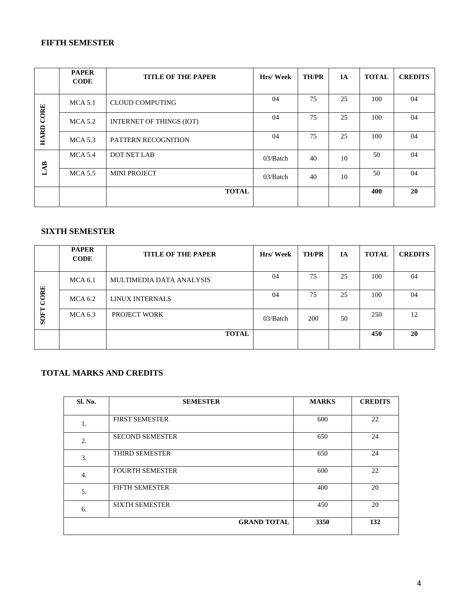#### **FIFTH SEMESTER**

|                  | <b>PAPER</b><br><b>CODE</b> | <b>TITLE OF THE PAPER</b>       | Hrs/Week | <b>TH/PR</b> | IA | <b>TOTAL</b> | <b>CREDITS</b> |
|------------------|-----------------------------|---------------------------------|----------|--------------|----|--------------|----------------|
|                  | $MCA$ 5.1                   | <b>CLOUD COMPUTING</b>          | 04       | 75           | 25 | 100          | 04             |
| <b>HARD CORE</b> | MCA 5.2                     | <b>INTERNET OF THINGS (IOT)</b> | 04       | 75           | 25 | 100          | 04             |
|                  | $MCA$ 5.3                   | PATTERN RECOGNITION             | 04       | 75           | 25 | 100          | 04             |
| A <sub>B</sub>   | MCA 5.4                     | <b>DOT NET LAB</b>              | 03/Batch | 40           | 10 | 50           | 04             |
|                  | $MCA$ 5.5                   | <b>MINI PROJECT</b>             | 03/Batch | 40           | 10 | 50           | 04             |
|                  |                             | <b>TOTAL</b>                    |          |              |    | 400          | 20             |

# **SIXTH SEMESTER**

|             | <b>PAPER</b><br><b>CODE</b> | <b>TITLE OF THE PAPER</b> | Hrs/Week | <b>TH/PR</b> | <b>IA</b> | <b>TOTAL</b> | <b>CREDITS</b> |
|-------------|-----------------------------|---------------------------|----------|--------------|-----------|--------------|----------------|
| CORE        | MCA 6.1                     | MULTIMEDIA DATA ANALYSIS  | 04       | 75           | 25        | 100          | 04             |
|             | MCA 6.2                     | LINUX INTERNALS           | 04       | 75           | 25        | 100          | 04             |
| <b>SOFT</b> | MCA 6.3                     | PROJECT WORK              | 03/Batch | 200          | 50        | 250          | 12             |
|             |                             | <b>TOTAL</b>              |          |              |           | 450          | 20             |

# **TOTAL MARKS AND CREDITS**

| Sl. No. | <b>SEMESTER</b>        | <b>MARKS</b> | <b>CREDITS</b> |
|---------|------------------------|--------------|----------------|
|         |                        |              |                |
| 1.      | <b>FIRST SEMESTER</b>  | 600          | 22             |
| 2.      | <b>SECOND SEMESTER</b> | 650          | 24             |
| 3.      | THIRD SEMESTER         | 650          | 24             |
| 4.      | <b>FOURTH SEMESTER</b> | 600          | 22             |
| 5.      | <b>FIFTH SEMESTER</b>  | 400          | 20             |
| 6.      | <b>SIXTH SEMESTER</b>  | 450          | 20             |
|         | <b>GRAND TOTAL</b>     | 3350         | 132            |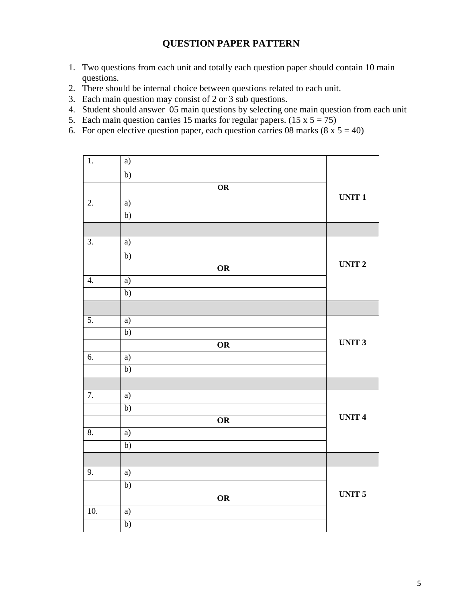# **QUESTION PAPER PATTERN**

- 1. Two questions from each unit and totally each question paper should contain 10 main questions.
- 2. There should be internal choice between questions related to each unit.
- 3. Each main question may consist of 2 or 3 sub questions.
- 4. Student should answer 05 main questions by selecting one main question from each unit
- 5. Each main question carries 15 marks for regular papers.  $(15 \times 5 = 75)$
- 6. For open elective question paper, each question carries 08 marks  $(8 \times 5 = 40)$

| $\overline{1}$ .  | a)              |                        |               |
|-------------------|-----------------|------------------------|---------------|
|                   | $\overline{b}$  |                        |               |
|                   |                 | $\overline{\text{OR}}$ |               |
| $\overline{2}$ .  | a)              |                        | <b>UNIT1</b>  |
|                   | $\overline{b}$  |                        |               |
|                   |                 |                        |               |
| $\overline{3}$ .  | a)              |                        |               |
|                   | $\overline{b}$  |                        |               |
|                   |                 | $\overline{\text{OR}}$ | <b>UNIT 2</b> |
| 4.                | a)              |                        |               |
|                   | b)              |                        |               |
|                   |                 |                        |               |
| 5.                | a)              |                        |               |
|                   | $\overline{b)}$ |                        |               |
|                   |                 | OR                     | <b>UNIT 3</b> |
| $\overline{6}$ .  | a)              |                        |               |
|                   | $\overline{b)}$ |                        |               |
|                   |                 |                        |               |
| $\overline{7}$ .  | a)              |                        |               |
|                   | $\overline{b}$  |                        | <b>UNIT4</b>  |
|                   |                 | OR                     |               |
| 8.                | $\overline{a}$  |                        |               |
|                   | $\overline{b}$  |                        |               |
|                   |                 |                        |               |
| 9.                | a)              |                        |               |
|                   | b)              |                        | <b>UNIT 5</b> |
|                   |                 | $\overline{\text{OR}}$ |               |
| $\overline{10}$ . | a)              |                        |               |
|                   | $\overline{b}$  |                        |               |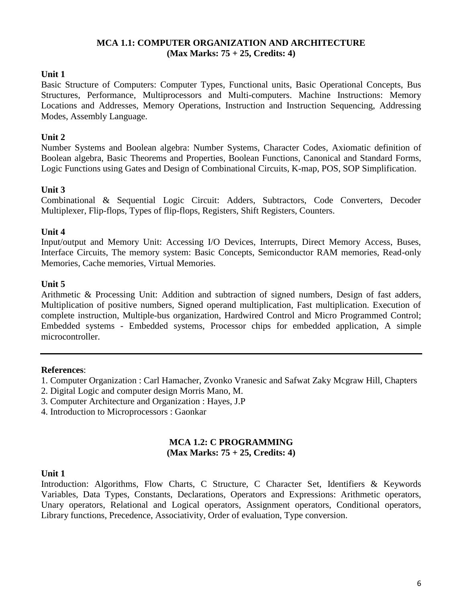#### **MCA 1.1: COMPUTER ORGANIZATION AND ARCHITECTURE (Max Marks: 75 + 25, Credits: 4)**

#### **Unit 1**

Basic Structure of Computers: Computer Types, Functional units, Basic Operational Concepts, Bus Structures, Performance, Multiprocessors and Multi-computers. Machine Instructions: Memory Locations and Addresses, Memory Operations, Instruction and Instruction Sequencing, Addressing Modes, Assembly Language.

#### **Unit 2**

Number Systems and Boolean algebra: Number Systems, Character Codes, Axiomatic definition of Boolean algebra, Basic Theorems and Properties, Boolean Functions, Canonical and Standard Forms, Logic Functions using Gates and Design of Combinational Circuits, K-map, POS, SOP Simplification.

#### **Unit 3**

Combinational & Sequential Logic Circuit: Adders, Subtractors, Code Converters, Decoder Multiplexer, Flip-flops, Types of flip-flops, Registers, Shift Registers, Counters.

#### **Unit 4**

Input/output and Memory Unit: Accessing I/O Devices, Interrupts, Direct Memory Access, Buses, Interface Circuits, The memory system: Basic Concepts, Semiconductor RAM memories, Read-only Memories, Cache memories, Virtual Memories.

#### **Unit 5**

Arithmetic & Processing Unit: Addition and subtraction of signed numbers, Design of fast adders, Multiplication of positive numbers, Signed operand multiplication, Fast multiplication. Execution of complete instruction, Multiple-bus organization, Hardwired Control and Micro Programmed Control; Embedded systems - Embedded systems, Processor chips for embedded application, A simple microcontroller.

#### **References**:

- 1. Computer Organization : Carl Hamacher, Zvonko Vranesic and Safwat Zaky Mcgraw Hill, Chapters
- 2. Digital Logic and computer design Morris Mano, M.
- 3. Computer Architecture and Organization : Hayes, J.P
- 4. Introduction to Microprocessors : Gaonkar

#### **MCA 1.2: C PROGRAMMING (Max Marks: 75 + 25, Credits: 4)**

#### **Unit 1**

Introduction: Algorithms, Flow Charts, C Structure, C Character Set, Identifiers & Keywords Variables, Data Types, Constants, Declarations, Operators and Expressions: Arithmetic operators, Unary operators, Relational and Logical operators, Assignment operators, Conditional operators, Library functions, Precedence, Associativity, Order of evaluation, Type conversion.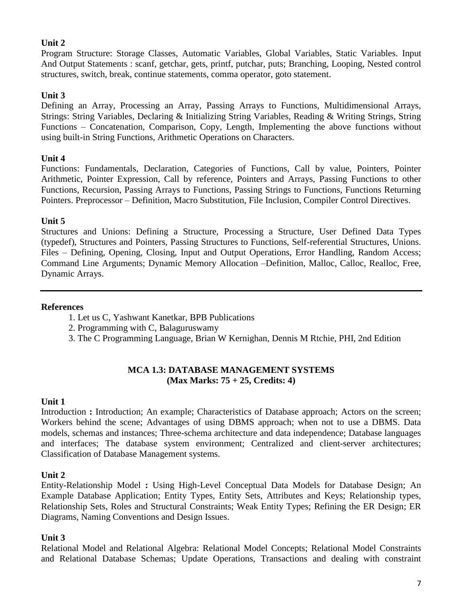Program Structure: Storage Classes, Automatic Variables, Global Variables, Static Variables. Input And Output Statements : scanf, getchar, gets, printf, putchar, puts; Branching, Looping, Nested control structures, switch, break, continue statements, comma operator, goto statement.

# **Unit 3**

Defining an Array, Processing an Array, Passing Arrays to Functions, Multidimensional Arrays, Strings: String Variables, Declaring & Initializing String Variables, Reading & Writing Strings, String Functions – Concatenation, Comparison, Copy, Length, Implementing the above functions without using built-in String Functions, Arithmetic Operations on Characters.

# **Unit 4**

Functions: Fundamentals, Declaration, Categories of Functions, Call by value, Pointers, Pointer Arithmetic, Pointer Expression, Call by reference, Pointers and Arrays, Passing Functions to other Functions, Recursion, Passing Arrays to Functions, Passing Strings to Functions, Functions Returning Pointers. Preprocessor – Definition, Macro Substitution, File Inclusion, Compiler Control Directives.

# **Unit 5**

Structures and Unions: Defining a Structure, Processing a Structure, User Defined Data Types (typedef), Structures and Pointers, Passing Structures to Functions, Self-referential Structures, Unions. Files – Defining, Opening, Closing, Input and Output Operations, Error Handling, Random Access; Command Line Arguments; Dynamic Memory Allocation –Definition, Malloc, Calloc, Realloc, Free, Dynamic Arrays.

# **References**

- 1. Let us C, Yashwant Kanetkar, BPB Publications
- 2. Programming with C, Balaguruswamy
- 3. The C Programming Language, Brian W Kernighan, Dennis M Rtchie, PHI, 2nd Edition

#### **MCA 1.3: DATABASE MANAGEMENT SYSTEMS (Max Marks: 75 + 25, Credits: 4)**

# **Unit 1**

Introduction **:** Introduction; An example; Characteristics of Database approach; Actors on the screen; Workers behind the scene; Advantages of using DBMS approach; when not to use a DBMS. Data models, schemas and instances; Three-schema architecture and data independence; Database languages and interfaces; The database system environment; Centralized and client-server architectures; Classification of Database Management systems.

# **Unit 2**

Entity-Relationship Model **:** Using High-Level Conceptual Data Models for Database Design; An Example Database Application; Entity Types, Entity Sets, Attributes and Keys; Relationship types, Relationship Sets, Roles and Structural Constraints; Weak Entity Types; Refining the ER Design; ER Diagrams, Naming Conventions and Design Issues.

#### **Unit 3**

Relational Model and Relational Algebra: Relational Model Concepts; Relational Model Constraints and Relational Database Schemas; Update Operations, Transactions and dealing with constraint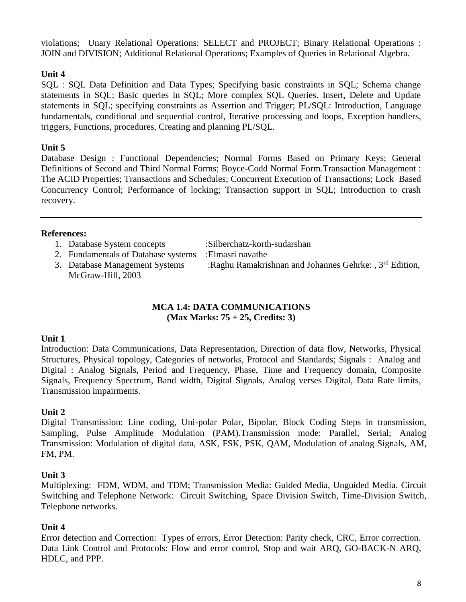violations; Unary Relational Operations: SELECT and PROJECT; Binary Relational Operations : JOIN and DIVISION; Additional Relational Operations; Examples of Queries in Relational Algebra.

# **Unit 4**

SQL : SQL Data Definition and Data Types; Specifying basic constraints in SQL; Schema change statements in SQL; Basic queries in SQL; More complex SQL Queries. Insert, Delete and Update statements in SQL; specifying constraints as Assertion and Trigger; PL/SQL: Introduction, Language fundamentals, conditional and sequential control, Iterative processing and loops, Exception handlers, triggers, Functions, procedures, Creating and planning PL/SQL.

# **Unit 5**

Database Design : Functional Dependencies; Normal Forms Based on Primary Keys; General Definitions of Second and Third Normal Forms; Boyce-Codd Normal Form.Transaction Management : The ACID Properties; Transactions and Schedules; Concurrent Execution of Transactions; Lock Based Concurrency Control; Performance of locking; Transaction support in SQL; Introduction to crash recovery.

#### **References:**

- 1. Database System concepts :Silberchatz-korth-sudarshan
- 2. Fundamentals of Database systems :Elmasri navathe
- McGraw-Hill, 2003

3. Database Management Systems :Raghu Ramakrishnan and Johannes Gehrke: , 3<sup>rd</sup> Edition,

#### **MCA 1.4: DATA COMMUNICATIONS (Max Marks: 75 + 25, Credits: 3)**

# **Unit 1**

Introduction: Data Communications, Data Representation, Direction of data flow, Networks, Physical Structures, Physical topology, Categories of networks, Protocol and Standards; Signals : Analog and Digital : Analog Signals, Period and Frequency, Phase, Time and Frequency domain, Composite Signals, Frequency Spectrum, Band width, Digital Signals, Analog verses Digital, Data Rate limits, Transmission impairments.

# **Unit 2**

Digital Transmission: Line coding, Uni-polar Polar, Bipolar, Block Coding Steps in transmission, Sampling, Pulse Amplitude Modulation (PAM).Transmission mode: Parallel, Serial; Analog Transmission: Modulation of digital data, ASK, FSK, PSK, QAM, Modulation of analog Signals, AM, FM, PM.

# **Unit 3**

Multiplexing: FDM, WDM, and TDM; Transmission Media: Guided Media, Unguided Media. Circuit Switching and Telephone Network: Circuit Switching, Space Division Switch, Time-Division Switch, Telephone networks.

# **Unit 4**

Error detection and Correction: Types of errors, Error Detection: Parity check, CRC, Error correction. Data Link Control and Protocols: Flow and error control, Stop and wait ARQ, GO-BACK-N ARQ, HDLC, and PPP.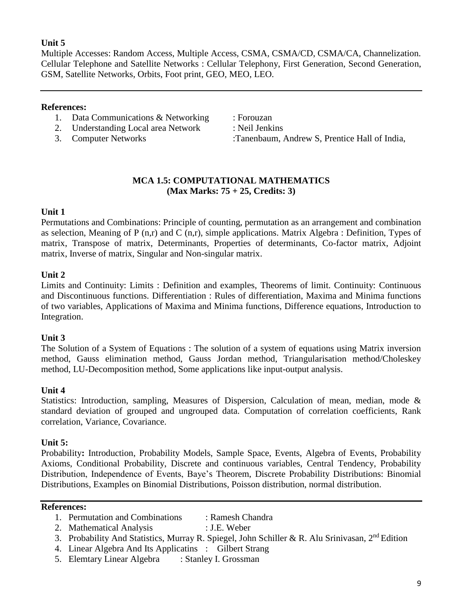Multiple Accesses: Random Access, Multiple Access, CSMA, CSMA/CD, CSMA/CA, Channelization. Cellular Telephone and Satellite Networks : Cellular Telephony, First Generation, Second Generation, GSM, Satellite Networks, Orbits, Foot print, GEO, MEO, LEO.

#### **References:**

- 1. Data Communications & Networking : Forouzan
- 2. Understanding Local area Network : Neil Jenkins
- 

3. Computer Networks :Tanenbaum, Andrew S, Prentice Hall of India,

#### **MCA 1.5: COMPUTATIONAL MATHEMATICS (Max Marks: 75 + 25, Credits: 3)**

#### **Unit 1**

Permutations and Combinations: Principle of counting, permutation as an arrangement and combination as selection, Meaning of P (n,r) and C (n,r), simple applications. Matrix Algebra : Definition, Types of matrix, Transpose of matrix, Determinants, Properties of determinants, Co-factor matrix, Adjoint matrix, Inverse of matrix, Singular and Non-singular matrix.

#### **Unit 2**

Limits and Continuity: Limits : Definition and examples, Theorems of limit. Continuity: Continuous and Discontinuous functions. Differentiation : Rules of differentiation, Maxima and Minima functions of two variables, Applications of Maxima and Minima functions, Difference equations, Introduction to Integration.

#### **Unit 3**

The Solution of a System of Equations : The solution of a system of equations using Matrix inversion method, Gauss elimination method, Gauss Jordan method, Triangularisation method/Choleskey method, LU-Decomposition method, Some applications like input-output analysis.

#### **Unit 4**

Statistics: Introduction, sampling, Measures of Dispersion, Calculation of mean, median, mode & standard deviation of grouped and ungrouped data. Computation of correlation coefficients, Rank correlation, Variance, Covariance.

#### **Unit 5:**

Probability**:** Introduction, Probability Models, Sample Space, Events, Algebra of Events, Probability Axioms, Conditional Probability, Discrete and continuous variables, Central Tendency, Probability Distribution, Independence of Events, Baye's Theorem, Discrete Probability Distributions: Binomial Distributions, Examples on Binomial Distributions, Poisson distribution, normal distribution.

#### **References:**

- 1. Permutation and Combinations : [Ramesh Chandra](http://www.amazon.in/s/ref=dp_byline_sr_book_1?ie=UTF8&field-author=Ramesh+Chandra&search-alias=stripbooks)
- 2. Mathematical Analysis : J.E. Weber
- 3. Probability And Statistics, Murray R. Spiegel, John Schiller & R. Alu Srinivasan, 2<sup>nd</sup> Edition
- 4. Linear Algebra And Its Applicatins : Gilbert Strang
- 5. Elemtary Linear Algebra : Stanley I. Grossman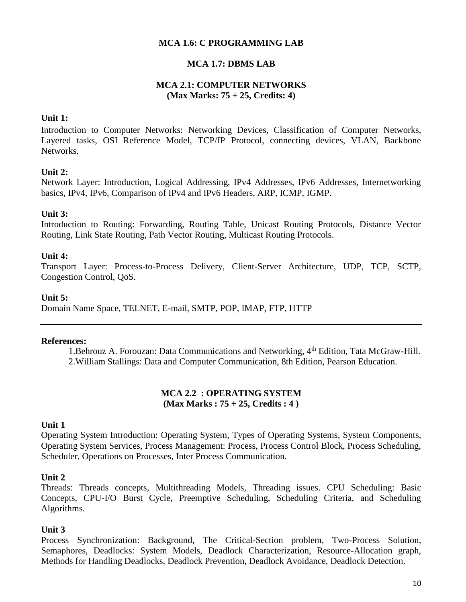#### **MCA 1.6: C PROGRAMMING LAB**

#### **MCA 1.7: DBMS LAB**

#### **MCA 2.1: COMPUTER NETWORKS (Max Marks: 75 + 25, Credits: 4)**

#### **Unit 1:**

Introduction to Computer Networks: Networking Devices, Classification of Computer Networks, Layered tasks, OSI Reference Model, TCP/IP Protocol, connecting devices, VLAN, Backbone Networks.

#### **Unit 2:**

Network Layer: Introduction, Logical Addressing, IPv4 Addresses, IPv6 Addresses, Internetworking basics, IPv4, IPv6, Comparison of IPv4 and IPv6 Headers, ARP, ICMP, IGMP.

#### **Unit 3:**

Introduction to Routing: Forwarding, Routing Table, Unicast Routing Protocols, Distance Vector Routing, Link State Routing, Path Vector Routing, Multicast Routing Protocols.

#### **Unit 4:**

Transport Layer: Process-to-Process Delivery, Client-Server Architecture, UDP, TCP, SCTP, Congestion Control, QoS.

#### **Unit 5:**

Domain Name Space, TELNET, E-mail, SMTP, POP, IMAP, FTP, HTTP

#### **References:**

1.Behrouz A. Forouzan: Data Communications and Networking, 4<sup>th</sup> Edition, Tata McGraw-Hill. 2.William Stallings: Data and Computer Communication, 8th Edition, Pearson Education.

#### **MCA 2.2 : OPERATING SYSTEM (Max Marks : 75 + 25, Credits : 4 )**

#### **Unit 1**

Operating System Introduction: Operating System, Types of Operating Systems, System Components, Operating System Services, Process Management: Process, Process Control Block, Process Scheduling, Scheduler, Operations on Processes, Inter Process Communication.

#### **Unit 2**

Threads: Threads concepts, Multithreading Models, Threading issues. CPU Scheduling: Basic Concepts, CPU-I/O Burst Cycle, Preemptive Scheduling, Scheduling Criteria, and Scheduling Algorithms.

#### **Unit 3**

Process Synchronization: Background, The Critical-Section problem, Two-Process Solution, Semaphores, Deadlocks: System Models, Deadlock Characterization, Resource-Allocation graph, Methods for Handling Deadlocks, Deadlock Prevention, Deadlock Avoidance, Deadlock Detection.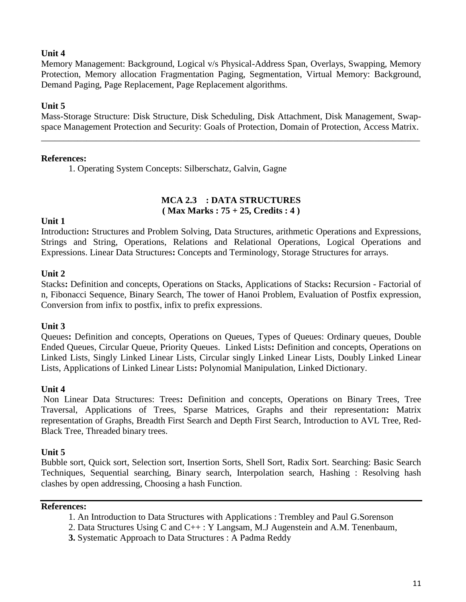Memory Management: Background, Logical v/s Physical-Address Span, Overlays, Swapping, Memory Protection, Memory allocation Fragmentation Paging, Segmentation, Virtual Memory: Background, Demand Paging, Page Replacement, Page Replacement algorithms.

#### **Unit 5**

Mass-Storage Structure: Disk Structure, Disk Scheduling, Disk Attachment, Disk Management, Swapspace Management Protection and Security: Goals of Protection, Domain of Protection, Access Matrix.

\_\_\_\_\_\_\_\_\_\_\_\_\_\_\_\_\_\_\_\_\_\_\_\_\_\_\_\_\_\_\_\_\_\_\_\_\_\_\_\_\_\_\_\_\_\_\_\_\_\_\_\_\_\_\_\_\_\_\_\_\_\_\_\_\_\_\_\_\_\_\_\_\_\_\_\_\_\_\_\_\_\_\_

#### **References:**

1. Operating System Concepts: Silberschatz, Galvin, Gagne

#### **MCA 2.3 : DATA STRUCTURES ( Max Marks : 75 + 25, Credits : 4 )**

#### **Unit 1**

Introduction**:** Structures and Problem Solving, Data Structures, arithmetic Operations and Expressions, Strings and String, Operations, Relations and Relational Operations, Logical Operations and Expressions. Linear Data Structures**:** Concepts and Terminology, Storage Structures for arrays.

#### **Unit 2**

Stacks**:** Definition and concepts, Operations on Stacks, Applications of Stacks**:** Recursion - Factorial of n, Fibonacci Sequence, Binary Search, The tower of Hanoi Problem, Evaluation of Postfix expression, Conversion from infix to postfix, infix to prefix expressions.

#### **Unit 3**

Queues**:** Definition and concepts, Operations on Queues, Types of Queues: Ordinary queues, Double Ended Queues, Circular Queue, Priority Queues. Linked Lists**:** Definition and concepts, Operations on Linked Lists, Singly Linked Linear Lists, Circular singly Linked Linear Lists, Doubly Linked Linear Lists, Applications of Linked Linear Lists**:** Polynomial Manipulation, Linked Dictionary.

#### **Unit 4**

Non Linear Data Structures: Trees**:** Definition and concepts, Operations on Binary Trees, Tree Traversal, Applications of Trees, Sparse Matrices, Graphs and their representation**:** Matrix representation of Graphs, Breadth First Search and Depth First Search, Introduction to AVL Tree, Red-Black Tree, Threaded binary trees.

#### **Unit 5**

Bubble sort, Quick sort, Selection sort, Insertion Sorts, Shell Sort, Radix Sort. Searching: Basic Search Techniques, Sequential searching, Binary search, Interpolation search, Hashing : Resolving hash clashes by open addressing, Choosing a hash Function.

#### **References:**

- 1. An Introduction to Data Structures with Applications : Trembley and Paul G.Sorenson
- 2. Data Structures Using C and C++ : Y Langsam, M.J Augenstein and A.M. Tenenbaum,
- **3.** Systematic Approach to Data Structures : A Padma Reddy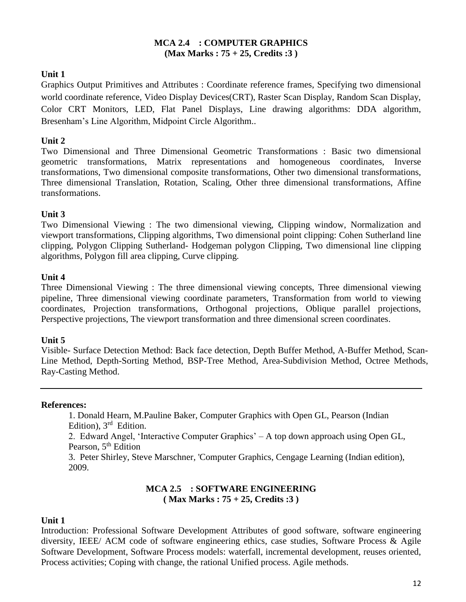#### **MCA 2.4 : COMPUTER GRAPHICS (Max Marks : 75 + 25, Credits :3 )**

# **Unit 1**

Graphics Output Primitives and Attributes : Coordinate reference frames, Specifying two dimensional world coordinate reference, Video Display Devices(CRT), Raster Scan Display, Random Scan Display, Color CRT Monitors, LED, Flat Panel Displays, Line drawing algorithms: DDA algorithm, Bresenham's Line Algorithm, Midpoint Circle Algorithm..

# **Unit 2**

Two Dimensional and Three Dimensional Geometric Transformations : Basic two dimensional geometric transformations, Matrix representations and homogeneous coordinates, Inverse transformations, Two dimensional composite transformations, Other two dimensional transformations, Three dimensional Translation, Rotation, Scaling, Other three dimensional transformations, Affine transformations.

# **Unit 3**

Two Dimensional Viewing : The two dimensional viewing, Clipping window, Normalization and viewport transformations, Clipping algorithms, Two dimensional point clipping: Cohen Sutherland line clipping, Polygon Clipping Sutherland- Hodgeman polygon Clipping, Two dimensional line clipping algorithms, Polygon fill area clipping, Curve clipping.

# **Unit 4**

Three Dimensional Viewing : The three dimensional viewing concepts, Three dimensional viewing pipeline, Three dimensional viewing coordinate parameters, Transformation from world to viewing coordinates, Projection transformations, Orthogonal projections, Oblique parallel projections, Perspective projections, The viewport transformation and three dimensional screen coordinates.

# **Unit 5**

Visible- Surface Detection Method: Back face detection, Depth Buffer Method, A-Buffer Method, Scan-Line Method, Depth-Sorting Method, BSP-Tree Method, Area-Subdivision Method, Octree Methods, Ray-Casting Method.

#### **References:**

1. Donald Hearn, M.Pauline Baker, Computer Graphics with Open GL, Pearson (Indian Edition), 3<sup>rd</sup> Edition.

2. Edward Angel, 'Interactive Computer Graphics' – A top down approach using Open GL, Pearson, 5<sup>th</sup> Edition

3. Peter Shirley, Steve Marschner, 'Computer Graphics, Cengage Learning (Indian edition), 2009.

# **MCA 2.5 : SOFTWARE ENGINEERING ( Max Marks : 75 + 25, Credits :3 )**

# **Unit 1**

Introduction: Professional Software Development Attributes of good software, software engineering diversity, IEEE/ ACM code of software engineering ethics, case studies, Software Process & Agile Software Development, Software Process models: waterfall, incremental development, reuses oriented, Process activities; Coping with change, the rational Unified process. Agile methods.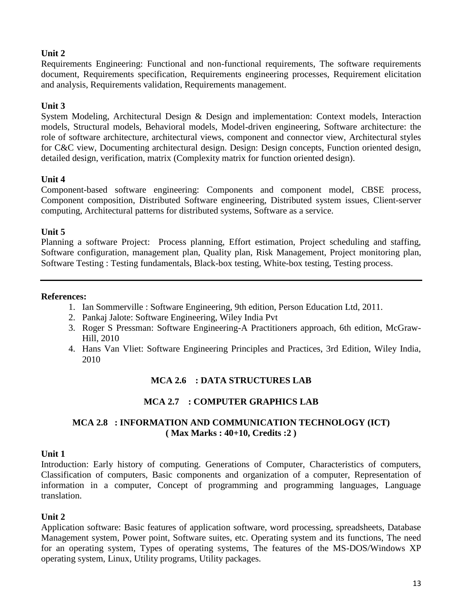Requirements Engineering: Functional and non-functional requirements, The software requirements document, Requirements specification, Requirements engineering processes, Requirement elicitation and analysis, Requirements validation, Requirements management.

# **Unit 3**

System Modeling, Architectural Design & Design and implementation: Context models, Interaction models, Structural models, Behavioral models, Model-driven engineering, Software architecture: the role of software architecture, architectural views, component and connector view, Architectural styles for C&C view, Documenting architectural design. Design: Design concepts, Function oriented design, detailed design, verification, matrix (Complexity matrix for function oriented design).

# **Unit 4**

Component-based software engineering: Components and component model, CBSE process, Component composition, Distributed Software engineering, Distributed system issues, Client-server computing, Architectural patterns for distributed systems, Software as a service.

# **Unit 5**

Planning a software Project: Process planning, Effort estimation, Project scheduling and staffing, Software configuration, management plan, Quality plan, Risk Management, Project monitoring plan, Software Testing : Testing fundamentals, Black-box testing, White-box testing, Testing process.

#### **References:**

- 1. Ian Sommerville : Software Engineering, 9th edition, Person Education Ltd, 2011.
- 2. Pankaj Jalote: Software Engineering, Wiley India Pvt
- 3. Roger S Pressman: Software Engineering-A Practitioners approach, 6th edition, McGraw-Hill, 2010
- 4. Hans Van Vliet: Software Engineering Principles and Practices, 3rd Edition, Wiley India, 2010

# **MCA 2.6 : DATA STRUCTURES LAB**

# **MCA 2.7 : COMPUTER GRAPHICS LAB**

# **MCA 2.8 : INFORMATION AND COMMUNICATION TECHNOLOGY (ICT) ( Max Marks : 40+10, Credits :2 )**

#### **Unit 1**

Introduction: Early history of computing. Generations of Computer, Characteristics of computers, Classification of computers, Basic components and organization of a computer, Representation of information in a computer, Concept of programming and programming languages, Language translation.

# **Unit 2**

Application software: Basic features of application software, word processing, spreadsheets, Database Management system, Power point, Software suites, etc. Operating system and its functions, The need for an operating system, Types of operating systems, The features of the MS-DOS/Windows XP operating system, Linux, Utility programs, Utility packages.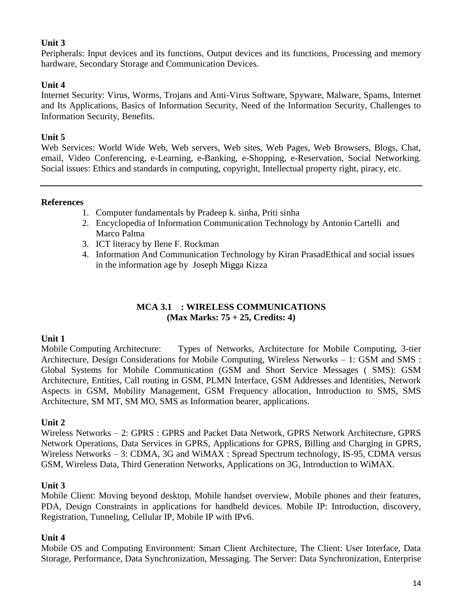Peripherals: Input devices and its functions, Output devices and its functions, Processing and memory hardware, Secondary Storage and Communication Devices.

# **Unit 4**

Internet Security: Virus, Worms, Trojans and Anti-Virus Software, Spyware, Malware, Spams, Internet and Its Applications, Basics of Information Security, Need of the Information Security, Challenges to Information Security, Benefits.

# **Unit 5**

Web Services: World Wide Web, Web servers, Web sites, Web Pages, Web Browsers, Blogs, Chat, email, Video Conferencing, e-Learning, e-Banking, e-Shopping, e-Reservation, Social Networking. Social issues: Ethics and standards in computing, copyright, Intellectual property right, piracy, etc.

# **References**

- 1. Computer fundamentals by Pradeep k. sinha, Priti sinha
- 2. Encyclopedia of Information Communication Technology by [Antonio Cartelli](http://www.igi-global.com/affiliate/antonio-cartelli/889/) and [Marco Palma](http://www.igi-global.com/affiliate/marco-palma/1338/)
- 3. ICT literacy by [Ilene F. Rockman](http://www.emeraldinsight.com/author/Rockman%2C+Ilene+F)
- 4. Information And Communication Technology by Kiran PrasadEthical and social issues in the information age by [Joseph Migga Kizza](http://www.google.com/search?tbo=p&tbm=bks&q=+inauthor:%22Joseph+Migga+Kizza%22)

# **MCA 3.1 : WIRELESS COMMUNICATIONS (Max Marks: 75 + 25, Credits: 4)**

# **Unit 1**

Mobile Computing Architecture: Types of Networks, Architecture for Mobile Computing, 3-tier Architecture, Design Considerations for Mobile Computing, Wireless Networks – 1: GSM and SMS : Global Systems for Mobile Communication (GSM and Short Service Messages ( SMS): GSM Architecture, Entities, Call routing in GSM, PLMN Interface, GSM Addresses and Identities, Network Aspects in GSM, Mobility Management, GSM Frequency allocation, Introduction to SMS, SMS Architecture, SM MT, SM MO, SMS as Information bearer, applications.

# **Unit 2**

Wireless Networks – 2: GPRS : GPRS and Packet Data Network, GPRS Network Architecture, GPRS Network Operations, Data Services in GPRS, Applications for GPRS, Billing and Charging in GPRS, Wireless Networks – 3: CDMA, 3G and WiMAX : Spread Spectrum technology, IS-95, CDMA versus GSM, Wireless Data, Third Generation Networks, Applications on 3G, Introduction to WiMAX.

# **Unit 3**

Mobile Client: Moving beyond desktop, Mobile handset overview, Mobile phones and their features, PDA, Design Constraints in applications for handheld devices. Mobile IP: Introduction, discovery, Registration, Tunneling, Cellular IP, Mobile IP with IPv6.

# **Unit 4**

Mobile OS and Computing Environment: Smart Client Architecture, The Client: User Interface, Data Storage, Performance, Data Synchronization, Messaging. The Server: Data Synchronization, Enterprise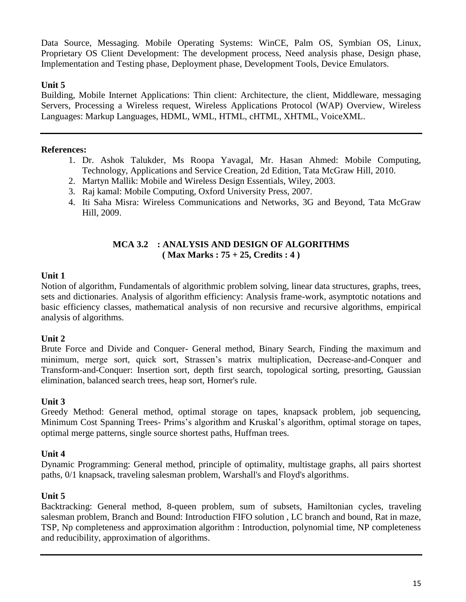Data Source, Messaging. Mobile Operating Systems: WinCE, Palm OS, Symbian OS, Linux, Proprietary OS Client Development: The development process, Need analysis phase, Design phase, Implementation and Testing phase, Deployment phase, Development Tools, Device Emulators.

# **Unit 5**

Building, Mobile Internet Applications: Thin client: Architecture, the client, Middleware, messaging Servers, Processing a Wireless request, Wireless Applications Protocol (WAP) Overview, Wireless Languages: Markup Languages, HDML, WML, HTML, cHTML, XHTML, VoiceXML.

# **References:**

- 1. Dr. Ashok Talukder, Ms Roopa Yavagal, Mr. Hasan Ahmed: Mobile Computing, Technology, Applications and Service Creation, 2d Edition, Tata McGraw Hill, 2010.
- 2. Martyn Mallik: Mobile and Wireless Design Essentials, Wiley, 2003.
- 3. Raj kamal: Mobile Computing, Oxford University Press, 2007.
- 4. Iti Saha Misra: Wireless Communications and Networks, 3G and Beyond, Tata McGraw Hill, 2009.

# **MCA 3.2 : ANALYSIS AND DESIGN OF ALGORITHMS ( Max Marks : 75 + 25, Credits : 4 )**

# **Unit 1**

Notion of algorithm, Fundamentals of algorithmic problem solving, linear data structures, graphs, trees, sets and dictionaries. Analysis of algorithm efficiency: Analysis frame-work, asymptotic notations and basic efficiency classes, mathematical analysis of non recursive and recursive algorithms, empirical analysis of algorithms.

# **Unit 2**

Brute Force and Divide and Conquer- General method, Binary Search, Finding the maximum and minimum, merge sort, quick sort, Strassen's matrix multiplication, Decrease-and-Conquer and Transform-and-Conquer: Insertion sort, depth first search, topological sorting, presorting, Gaussian elimination, balanced search trees, heap sort, Horner's rule.

# **Unit 3**

Greedy Method: General method, optimal storage on tapes, knapsack problem, job sequencing, Minimum Cost Spanning Trees- Prims's algorithm and Kruskal's algorithm, optimal storage on tapes, optimal merge patterns, single source shortest paths, Huffman trees.

# **Unit 4**

Dynamic Programming: General method, principle of optimality, multistage graphs, all pairs shortest paths, 0/1 knapsack, traveling salesman problem, Warshall's and Floyd's algorithms.

# **Unit 5**

Backtracking: General method, 8-queen problem, sum of subsets, Hamiltonian cycles, traveling salesman problem, Branch and Bound: Introduction FIFO solution , LC branch and bound, Rat in maze, TSP, Np completeness and approximation algorithm : Introduction, polynomial time, NP completeness and reducibility, approximation of algorithms.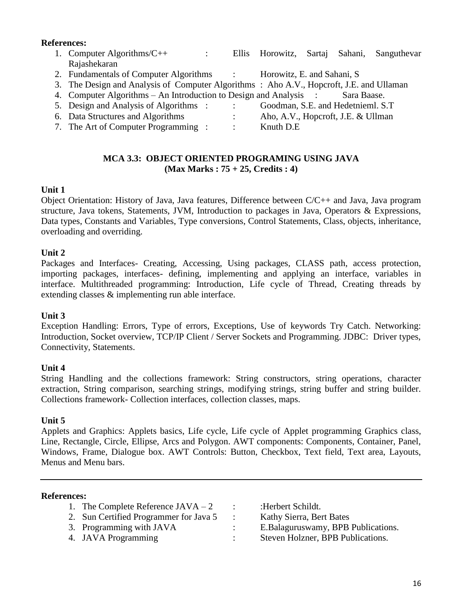#### **References:**

- 1. Computer Algorithms/C++ : Ellis Horowitz, Sartaj Sahani, Sanguthevar Rajashekaran
- 2. Fundamentals of Computer Algorithms : Horowitz, E. and Sahani, S
- 3. The Design and Analysis of Computer Algorithms : Aho A.V., Hopcroft, J.E. and Ullaman
- 4. Computer Algorithms An Introduction to Design and Analysis : Sara Baase.
- 5. Design and Analysis of Algorithms : : Goodman, S.E. and Hedetnieml. S.T
- 6. Data Structures and Algorithms : Aho, A.V., Hopcroft, J.E. & Ullman
- 7. The Art of Computer Programming : : Knuth D.E

#### **MCA 3.3: OBJECT ORIENTED PROGRAMING USING JAVA (Max Marks : 75 + 25, Credits : 4)**

# **Unit 1**

Object Orientation: History of Java, Java features, Difference between C/C++ and Java, Java program structure, Java tokens, Statements, JVM, Introduction to packages in Java, Operators & Expressions, Data types, Constants and Variables, Type conversions, Control Statements, Class, objects, inheritance, overloading and overriding.

# **Unit 2**

Packages and Interfaces- Creating, Accessing, Using packages, CLASS path, access protection, importing packages, interfaces- defining, implementing and applying an interface, variables in interface. Multithreaded programming: Introduction, Life cycle of Thread, Creating threads by extending classes & implementing run able interface.

# **Unit 3**

Exception Handling: Errors, Type of errors, Exceptions, Use of keywords Try Catch. Networking: Introduction, Socket overview, TCP/IP Client / Server Sockets and Programming. JDBC: Driver types, Connectivity, Statements.

# **Unit 4**

String Handling and the collections framework: String constructors, string operations, character extraction, String comparison, searching strings, modifying strings, string buffer and string builder. Collections framework- Collection interfaces, collection classes, maps.

# **Unit 5**

Applets and Graphics: Applets basics, Life cycle, Life cycle of Applet programming Graphics class, Line, Rectangle, Circle, Ellipse, Arcs and Polygon. AWT components: Components, Container, Panel, Windows, Frame, Dialogue box. AWT Controls: Button, Checkbox, Text field, Text area, Layouts, Menus and Menu bars.

# **References:**

- 1. The Complete Reference  $JAVA 2$  : : Herbert Schildt. 2. Sun Certified Programmer for Java 5 : Kathy Sierra, Bert Bates
	-
- 3. Programming with JAVA : E.Balaguruswamy, BPB Publications.
- 4. JAVA Programming : Steven Holzner, BPB Publications.
-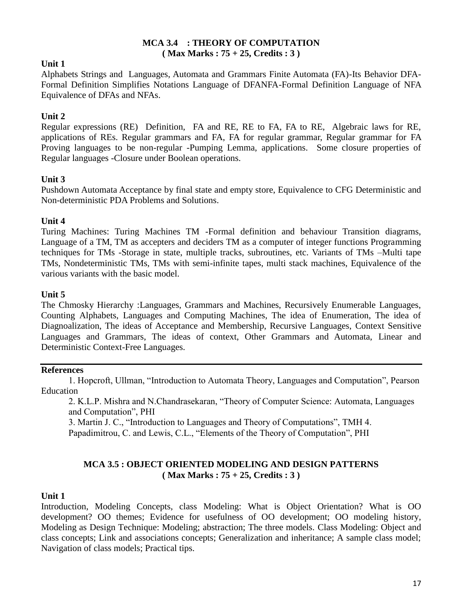#### **MCA 3.4 : THEORY OF COMPUTATION ( Max Marks : 75 + 25, Credits : 3 )**

# **Unit 1**

Alphabets Strings and Languages, Automata and Grammars Finite Automata (FA)-Its Behavior DFA-Formal Definition Simplifies Notations Language of DFANFA-Formal Definition Language of NFA Equivalence of DFAs and NFAs.

# **Unit 2**

Regular expressions (RE) Definition, FA and RE, RE to FA, FA to RE, Algebraic laws for RE, applications of REs. Regular grammars and FA, FA for regular grammar, Regular grammar for FA Proving languages to be non-regular -Pumping Lemma, applications. Some closure properties of Regular languages -Closure under Boolean operations.

# **Unit 3**

Pushdown Automata Acceptance by final state and empty store, Equivalence to CFG Deterministic and Non-deterministic PDA Problems and Solutions.

# **Unit 4**

Turing Machines: Turing Machines TM -Formal definition and behaviour Transition diagrams, Language of a TM, TM as accepters and deciders TM as a computer of integer functions Programming techniques for TMs -Storage in state, multiple tracks, subroutines, etc. Variants of TMs –Multi tape TMs, Nondeterministic TMs, TMs with semi-infinite tapes, multi stack machines, Equivalence of the various variants with the basic model.

# **Unit 5**

The Chmosky Hierarchy :Languages, Grammars and Machines, Recursively Enumerable Languages, Counting Alphabets, Languages and Computing Machines, The idea of Enumeration, The idea of Diagnoalization, The ideas of Acceptance and Membership, Recursive Languages, Context Sensitive Languages and Grammars, The ideas of context, Other Grammars and Automata, Linear and Deterministic Context-Free Languages.

#### **References**

1. Hopcroft, Ullman, "Introduction to Automata Theory, Languages and Computation", Pearson Education

2. K.L.P. Mishra and N.Chandrasekaran, "Theory of Computer Science: Automata, Languages and Computation", PHI

3. Martin J. C., "Introduction to Languages and Theory of Computations", TMH 4. Papadimitrou, C. and Lewis, C.L., "Elements of the Theory of Computation", PHI

# **MCA 3.5 : OBJECT ORIENTED MODELING AND DESIGN PATTERNS ( Max Marks : 75 + 25, Credits : 3 )**

# **Unit 1**

Introduction, Modeling Concepts, class Modeling: What is Object Orientation? What is OO development? OO themes; Evidence for usefulness of OO development; OO modeling history, Modeling as Design Technique: Modeling; abstraction; The three models. Class Modeling: Object and class concepts; Link and associations concepts; Generalization and inheritance; A sample class model; Navigation of class models; Practical tips.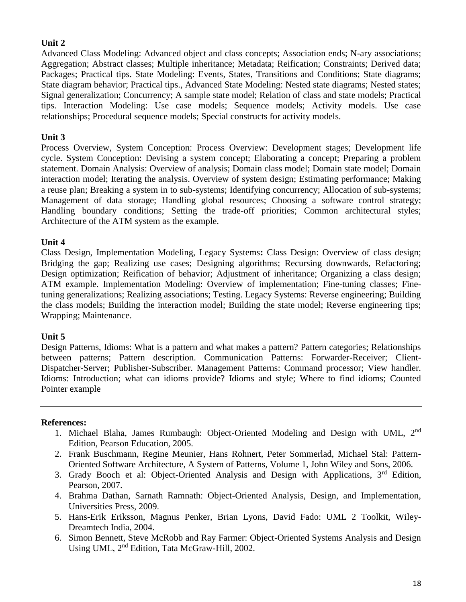Advanced Class Modeling: Advanced object and class concepts; Association ends; N-ary associations; Aggregation; Abstract classes; Multiple inheritance; Metadata; Reification; Constraints; Derived data; Packages; Practical tips. State Modeling: Events, States, Transitions and Conditions; State diagrams; State diagram behavior; Practical tips., Advanced State Modeling: Nested state diagrams; Nested states; Signal generalization; Concurrency; A sample state model; Relation of class and state models; Practical tips. Interaction Modeling: Use case models; Sequence models; Activity models. Use case relationships; Procedural sequence models; Special constructs for activity models.

# **Unit 3**

Process Overview, System Conception: Process Overview: Development stages; Development life cycle. System Conception: Devising a system concept; Elaborating a concept; Preparing a problem statement. Domain Analysis: Overview of analysis; Domain class model; Domain state model; Domain interaction model; Iterating the analysis. Overview of system design; Estimating performance; Making a reuse plan; Breaking a system in to sub-systems; Identifying concurrency; Allocation of sub-systems; Management of data storage; Handling global resources; Choosing a software control strategy; Handling boundary conditions; Setting the trade-off priorities; Common architectural styles; Architecture of the ATM system as the example.

# **Unit 4**

Class Design, Implementation Modeling, Legacy Systems**:** Class Design: Overview of class design; Bridging the gap; Realizing use cases; Designing algorithms; Recursing downwards, Refactoring; Design optimization; Reification of behavior; Adjustment of inheritance; Organizing a class design; ATM example. Implementation Modeling: Overview of implementation; Fine-tuning classes; Finetuning generalizations; Realizing associations; Testing. Legacy Systems: Reverse engineering; Building the class models; Building the interaction model; Building the state model; Reverse engineering tips; Wrapping; Maintenance.

# **Unit 5**

Design Patterns, Idioms: What is a pattern and what makes a pattern? Pattern categories; Relationships between patterns; Pattern description. Communication Patterns: Forwarder-Receiver; Client-Dispatcher-Server; Publisher-Subscriber. Management Patterns: Command processor; View handler. Idioms: Introduction; what can idioms provide? Idioms and style; Where to find idioms; Counted Pointer example

#### **References:**

- 1. Michael Blaha, James Rumbaugh: Object-Oriented Modeling and Design with UML, 2nd Edition, Pearson Education, 2005.
- 2. Frank Buschmann, Regine Meunier, Hans Rohnert, Peter Sommerlad, Michael Stal: Pattern-Oriented Software Architecture, A System of Patterns, Volume 1, John Wiley and Sons, 2006.
- 3. Grady Booch et al: Object-Oriented Analysis and Design with Applications, 3<sup>rd</sup> Edition, Pearson, 2007.
- 4. Brahma Dathan, Sarnath Ramnath: Object-Oriented Analysis, Design, and Implementation, Universities Press, 2009.
- 5. Hans-Erik Eriksson, Magnus Penker, Brian Lyons, David Fado: UML 2 Toolkit, Wiley-Dreamtech India, 2004.
- 6. Simon Bennett, Steve McRobb and Ray Farmer: Object-Oriented Systems Analysis and Design Using UML, 2nd Edition, Tata McGraw-Hill, 2002.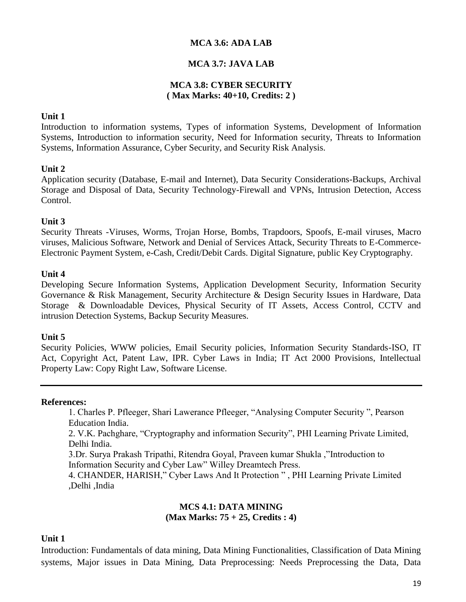#### **MCA 3.6: ADA LAB**

#### **MCA 3.7: JAVA LAB**

#### **MCA 3.8: CYBER SECURITY ( Max Marks: 40+10, Credits: 2 )**

#### **Unit 1**

Introduction to information systems, Types of information Systems, Development of Information Systems, Introduction to information security, Need for Information security, Threats to Information Systems, Information Assurance, Cyber Security, and Security Risk Analysis.

#### **Unit 2**

Application security (Database, E-mail and Internet), Data Security Considerations-Backups, Archival Storage and Disposal of Data, Security Technology-Firewall and VPNs, Intrusion Detection, Access Control.

#### **Unit 3**

Security Threats -Viruses, Worms, Trojan Horse, Bombs, Trapdoors, Spoofs, E-mail viruses, Macro viruses, Malicious Software, Network and Denial of Services Attack, Security Threats to E-Commerce-Electronic Payment System, e-Cash, Credit/Debit Cards. Digital Signature, public Key Cryptography.

#### **Unit 4**

Developing Secure Information Systems, Application Development Security, Information Security Governance & Risk Management, Security Architecture & Design Security Issues in Hardware, Data Storage & Downloadable Devices, Physical Security of IT Assets, Access Control, CCTV and intrusion Detection Systems, Backup Security Measures.

#### **Unit 5**

Security Policies, WWW policies, Email Security policies, Information Security Standards-ISO, IT Act, Copyright Act, Patent Law, IPR. Cyber Laws in India; IT Act 2000 Provisions, Intellectual Property Law: Copy Right Law, Software License.

#### **References:**

1. Charles P. Pfleeger, Shari Lawerance Pfleeger, "Analysing Computer Security ", Pearson Education India.

2. V.K. Pachghare, "Cryptography and information Security", PHI Learning Private Limited, Delhi India.

3.Dr. Surya Prakash Tripathi, Ritendra Goyal, Praveen kumar Shukla ,"Introduction to Information Security and Cyber Law" Willey Dreamtech Press.

4. CHANDER, HARISH," Cyber Laws And It Protection " , PHI Learning Private Limited ,Delhi ,India

#### **MCS 4.1: DATA MINING (Max Marks: 75 + 25, Credits : 4)**

#### **Unit 1**

Introduction: Fundamentals of data mining, Data Mining Functionalities, Classification of Data Mining systems, Major issues in Data Mining, Data Preprocessing: Needs Preprocessing the Data, Data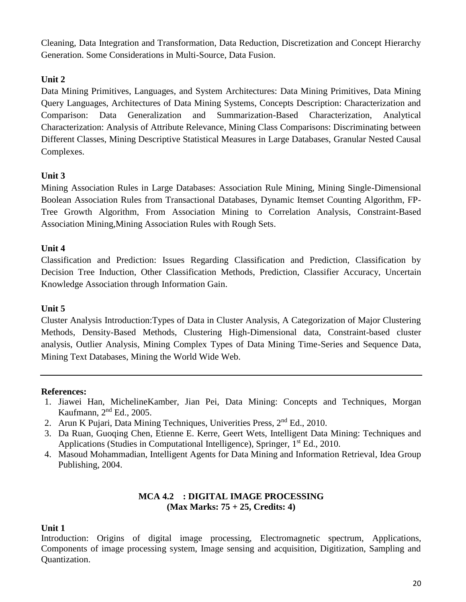Cleaning, Data Integration and Transformation, Data Reduction, Discretization and Concept Hierarchy Generation. Some Considerations in Multi-Source, Data Fusion.

# **Unit 2**

Data Mining Primitives, Languages, and System Architectures: Data Mining Primitives, Data Mining Query Languages, Architectures of Data Mining Systems, Concepts Description: Characterization and Comparison: Data Generalization and Summarization-Based Characterization, Analytical Characterization: Analysis of Attribute Relevance, Mining Class Comparisons: Discriminating between Different Classes, Mining Descriptive Statistical Measures in Large Databases, Granular Nested Causal Complexes.

# **Unit 3**

Mining Association Rules in Large Databases: Association Rule Mining, Mining Single-Dimensional Boolean Association Rules from Transactional Databases, Dynamic Itemset Counting Algorithm, FP-Tree Growth Algorithm, From Association Mining to Correlation Analysis, Constraint-Based Association Mining,Mining Association Rules with Rough Sets.

# **Unit 4**

Classification and Prediction: Issues Regarding Classification and Prediction, Classification by Decision Tree Induction, Other Classification Methods, Prediction, Classifier Accuracy, Uncertain Knowledge Association through Information Gain.

# **Unit 5**

Cluster Analysis Introduction:Types of Data in Cluster Analysis, A Categorization of Major Clustering Methods, Density-Based Methods, Clustering High-Dimensional data, Constraint-based cluster analysis, Outlier Analysis, Mining Complex Types of Data Mining Time-Series and Sequence Data, Mining Text Databases, Mining the World Wide Web.

# **References:**

- 1. Jiawei Han, MichelineKamber, Jian Pei, Data Mining: Concepts and Techniques, Morgan Kaufmann, 2nd Ed., 2005.
- 2. Arun K Pujari, Data Mining Techniques, Univerities Press, 2<sup>nd</sup> Ed., 2010.
- 3. Da Ruan, Guoqing Chen, Etienne E. Kerre, Geert Wets, Intelligent Data Mining: Techniques and Applications (Studies in Computational Intelligence), Springer, 1<sup>st</sup> Ed., 2010.
- 4. Masoud Mohammadian, Intelligent Agents for Data Mining and Information Retrieval, Idea Group Publishing, 2004.

# **MCA 4.2 : DIGITAL IMAGE PROCESSING (Max Marks: 75 + 25, Credits: 4)**

# **Unit 1**

Introduction: Origins of digital image processing, Electromagnetic spectrum, Applications, Components of image processing system, Image sensing and acquisition, Digitization, Sampling and Quantization.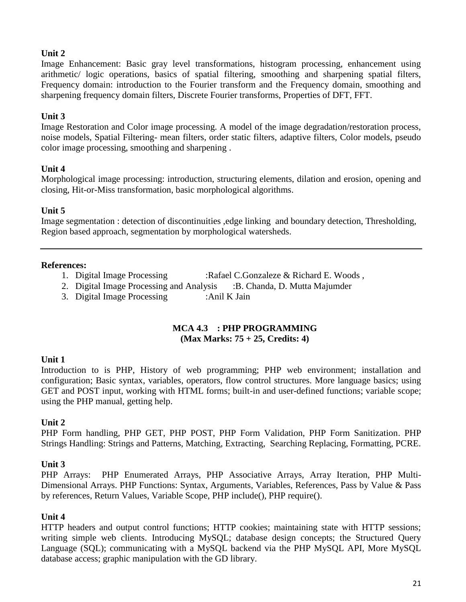Image Enhancement: Basic gray level transformations, histogram processing, enhancement using arithmetic/ logic operations, basics of spatial filtering, smoothing and sharpening spatial filters, Frequency domain: introduction to the Fourier transform and the Frequency domain, smoothing and sharpening frequency domain filters, Discrete Fourier transforms, Properties of DFT, FFT.

# **Unit 3**

Image Restoration and Color image processing. A model of the image degradation/restoration process, noise models, Spatial Filtering- mean filters, order static filters, adaptive filters, Color models, pseudo color image processing, smoothing and sharpening .

# **Unit 4**

Morphological image processing: introduction, structuring elements, dilation and erosion, opening and closing, Hit-or-Miss transformation, basic morphological algorithms.

# **Unit 5**

Image segmentation : detection of discontinuities ,edge linking and boundary detection, Thresholding, Region based approach, segmentation by morphological watersheds.

#### **References:**

- 1. Digital Image Processing :Rafael C.Gonzaleze & Richard E. Woods,
- 2. Digital Image Processing and Analysis : B. Chanda, D. Mutta Majumder
- 3. Digital Image Processing :Anil K Jain

#### **MCA 4.3 : PHP PROGRAMMING (Max Marks: 75 + 25, Credits: 4)**

# **Unit 1**

Introduction to is PHP, History of web programming; PHP web environment; installation and configuration; Basic syntax, variables, operators, flow control structures. More language basics; using GET and POST input, working with HTML forms; built-in and user-defined functions; variable scope; using the PHP manual, getting help.

# **Unit 2**

PHP Form handling, PHP GET, PHP POST, PHP Form Validation, PHP Form Sanitization. PHP Strings Handling: Strings and Patterns, Matching, Extracting, Searching Replacing, Formatting, PCRE.

# **Unit 3**

PHP Arrays: PHP Enumerated Arrays, PHP Associative Arrays, Array Iteration, PHP Multi-Dimensional Arrays. PHP Functions: Syntax, Arguments, Variables, References, Pass by Value & Pass by references, Return Values, Variable Scope, PHP include(), PHP require().

# **Unit 4**

HTTP headers and output control functions; HTTP cookies; maintaining state with HTTP sessions; writing simple web clients. Introducing MySQL; database design concepts; the Structured Query Language (SQL); communicating with a MySQL backend via the PHP MySQL API, More MySQL database access; graphic manipulation with the GD library.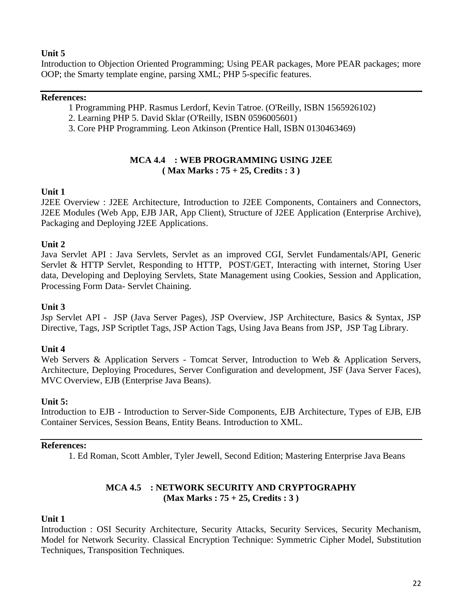Introduction to Objection Oriented Programming; Using PEAR packages, More PEAR packages; more OOP; the Smarty template engine, parsing XML; PHP 5-specific features.

#### **References:**

- 1 Programming PHP. Rasmus Lerdorf, Kevin Tatroe. (O'Reilly, ISBN 1565926102)
- 2. Learning PHP 5. David Sklar (O'Reilly, ISBN 0596005601)
- 3. Core PHP Programming. Leon Atkinson (Prentice Hall, ISBN 0130463469)

# **MCA 4.4 : WEB PROGRAMMING USING J2EE ( Max Marks : 75 + 25, Credits : 3 )**

# **Unit 1**

J2EE Overview : J2EE Architecture, Introduction to J2EE Components, Containers and Connectors, J2EE Modules (Web App, EJB JAR, App Client), Structure of J2EE Application (Enterprise Archive), Packaging and Deploying J2EE Applications.

# **Unit 2**

Java Servlet API : Java Servlets, Servlet as an improved CGI, Servlet Fundamentals/API, Generic Servlet & HTTP Servlet, Responding to HTTP, POST/GET, Interacting with internet, Storing User data, Developing and Deploying Servlets, State Management using Cookies, Session and Application, Processing Form Data- Servlet Chaining.

# **Unit 3**

Jsp Servlet API - JSP (Java Server Pages), JSP Overview, JSP Architecture, Basics & Syntax, JSP Directive, Tags, JSP Scriptlet Tags, JSP Action Tags, Using Java Beans from JSP, JSP Tag Library.

# **Unit 4**

Web Servers & Application Servers - Tomcat Server, Introduction to Web & Application Servers, Architecture, Deploying Procedures, Server Configuration and development, JSF (Java Server Faces), MVC Overview, EJB (Enterprise Java Beans).

#### **Unit 5:**

Introduction to EJB - Introduction to Server-Side Components, EJB Architecture, Types of EJB, EJB Container Services, Session Beans, Entity Beans. Introduction to XML.

#### **References:**

1. Ed Roman, Scott Ambler, Tyler Jewell, Second Edition; Mastering Enterprise Java Beans

# **MCA 4.5 : NETWORK SECURITY AND CRYPTOGRAPHY (Max Marks : 75 + 25, Credits : 3 )**

#### **Unit 1**

Introduction : OSI Security Architecture, Security Attacks, Security Services, Security Mechanism, Model for Network Security. Classical Encryption Technique: Symmetric Cipher Model, Substitution Techniques, Transposition Techniques.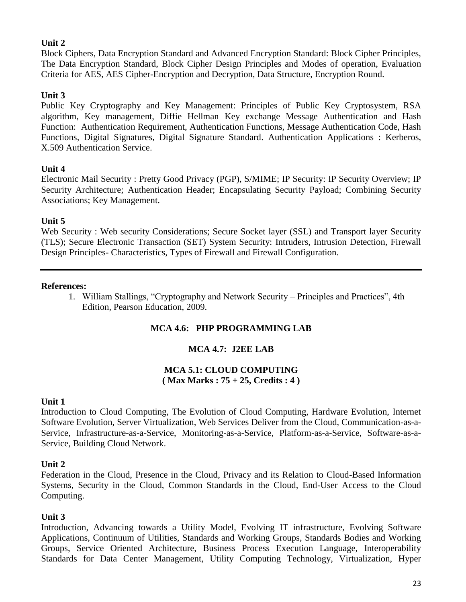Block Ciphers, Data Encryption Standard and Advanced Encryption Standard: Block Cipher Principles, The Data Encryption Standard, Block Cipher Design Principles and Modes of operation, Evaluation Criteria for AES, AES Cipher-Encryption and Decryption, Data Structure, Encryption Round.

# **Unit 3**

Public Key Cryptography and Key Management: Principles of Public Key Cryptosystem, RSA algorithm, Key management, Diffie Hellman Key exchange Message Authentication and Hash Function: Authentication Requirement, Authentication Functions, Message Authentication Code, Hash Functions, Digital Signatures, Digital Signature Standard. Authentication Applications : Kerberos, X.509 Authentication Service.

# **Unit 4**

Electronic Mail Security : Pretty Good Privacy (PGP), S/MIME; IP Security: IP Security Overview; IP Security Architecture; Authentication Header; Encapsulating Security Payload; Combining Security Associations; Key Management.

# **Unit 5**

Web Security : Web security Considerations; Secure Socket layer (SSL) and Transport layer Security (TLS); Secure Electronic Transaction (SET) System Security: Intruders, Intrusion Detection, Firewall Design Principles- Characteristics, Types of Firewall and Firewall Configuration.

#### **References:**

1. William Stallings, "Cryptography and Network Security – Principles and Practices", 4th Edition, Pearson Education, 2009.

# **MCA 4.6: PHP PROGRAMMING LAB**

# **MCA 4.7: J2EE LAB**

# **MCA 5.1: CLOUD COMPUTING ( Max Marks : 75 + 25, Credits : 4 )**

# **Unit 1**

Introduction to Cloud Computing, The Evolution of Cloud Computing, Hardware Evolution, Internet Software Evolution, Server Virtualization, Web Services Deliver from the Cloud, Communication-as-a-Service, Infrastructure-as-a-Service, Monitoring-as-a-Service, Platform-as-a-Service, Software-as-a-Service, Building Cloud Network.

# **Unit 2**

Federation in the Cloud, Presence in the Cloud, Privacy and its Relation to Cloud-Based Information Systems, Security in the Cloud, Common Standards in the Cloud, End-User Access to the Cloud Computing.

# **Unit 3**

Introduction, Advancing towards a Utility Model, Evolving IT infrastructure, Evolving Software Applications, Continuum of Utilities, Standards and Working Groups, Standards Bodies and Working Groups, Service Oriented Architecture, Business Process Execution Language, Interoperability Standards for Data Center Management, Utility Computing Technology, Virtualization, Hyper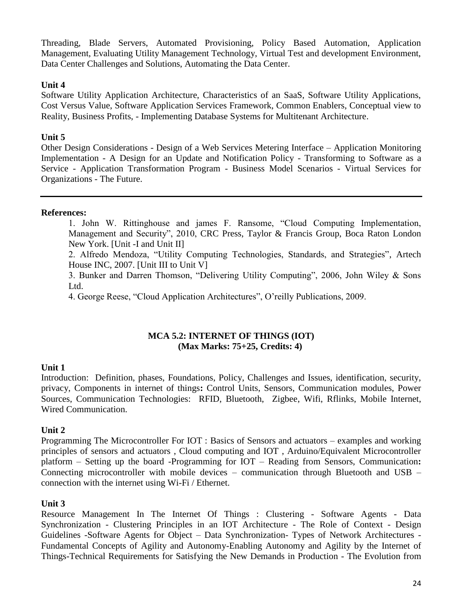Threading, Blade Servers, Automated Provisioning, Policy Based Automation, Application Management, Evaluating Utility Management Technology, Virtual Test and development Environment, Data Center Challenges and Solutions, Automating the Data Center.

#### **Unit 4**

Software Utility Application Architecture, Characteristics of an SaaS, Software Utility Applications, Cost Versus Value, Software Application Services Framework, Common Enablers, Conceptual view to Reality, Business Profits, - Implementing Database Systems for Multitenant Architecture.

# **Unit 5**

Other Design Considerations - Design of a Web Services Metering Interface – Application Monitoring Implementation - A Design for an Update and Notification Policy - Transforming to Software as a Service - Application Transformation Program - Business Model Scenarios - Virtual Services for Organizations - The Future.

# **References:**

1. John W. Rittinghouse and james F. Ransome, "Cloud Computing Implementation, Management and Security", 2010, CRC Press, Taylor & Francis Group, Boca Raton London New York. [Unit -I and Unit II]

2. Alfredo Mendoza, "Utility Computing Technologies, Standards, and Strategies", Artech House INC, 2007. [Unit III to Unit V]

3. Bunker and Darren Thomson, "Delivering Utility Computing", 2006, John Wiley & Sons Ltd.

4. George Reese, "Cloud Application Architectures", O'reilly Publications, 2009.

#### **MCA 5.2: INTERNET OF THINGS (IOT) (Max Marks: 75+25, Credits: 4)**

# **Unit 1**

Introduction: Definition, phases, Foundations, Policy, Challenges and Issues, identification, security, privacy, Components in internet of things**:** Control Units, Sensors, Communication modules, Power Sources, Communication Technologies: RFID, Bluetooth, Zigbee, Wifi, Rflinks, Mobile Internet, Wired Communication.

# **Unit 2**

Programming The Microcontroller For IOT : Basics of Sensors and actuators – examples and working principles of sensors and actuators , Cloud computing and IOT , Arduino/Equivalent Microcontroller platform – Setting up the board -Programming for IOT – Reading from Sensors, Communication**:**  Connecting microcontroller with mobile devices – communication through Bluetooth and USB – connection with the internet using Wi-Fi / Ethernet.

#### **Unit 3**

Resource Management In The Internet Of Things : Clustering - Software Agents - Data Synchronization - Clustering Principles in an IOT Architecture - The Role of Context - Design Guidelines -Software Agents for Object – Data Synchronization- Types of Network Architectures - Fundamental Concepts of Agility and Autonomy-Enabling Autonomy and Agility by the Internet of Things-Technical Requirements for Satisfying the New Demands in Production - The Evolution from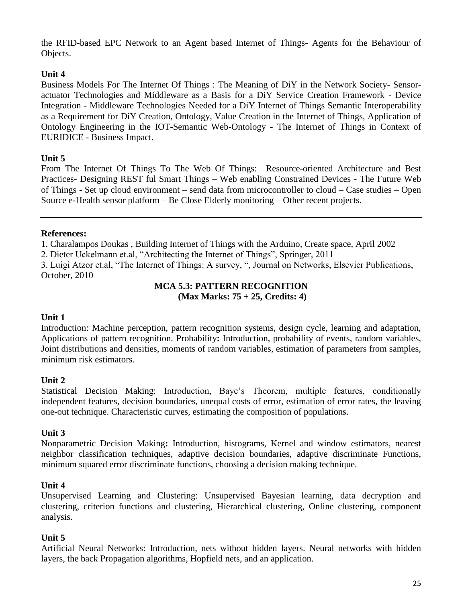the RFID-based EPC Network to an Agent based Internet of Things- Agents for the Behaviour of Objects.

# **Unit 4**

Business Models For The Internet Of Things : The Meaning of DiY in the Network Society- Sensoractuator Technologies and Middleware as a Basis for a DiY Service Creation Framework - Device Integration - Middleware Technologies Needed for a DiY Internet of Things Semantic Interoperability as a Requirement for DiY Creation, Ontology, Value Creation in the Internet of Things, Application of Ontology Engineering in the IOT-Semantic Web-Ontology - The Internet of Things in Context of EURIDICE - Business Impact.

# **Unit 5**

From The Internet Of Things To The Web Of Things: Resource-oriented Architecture and Best Practices- Designing REST ful Smart Things – Web enabling Constrained Devices - The Future Web of Things - Set up cloud environment – send data from microcontroller to cloud – Case studies – Open Source e-Health sensor platform – Be Close Elderly monitoring – Other recent projects.

#### **References:**

1. Charalampos Doukas , Building Internet of Things with the Arduino, Create space, April 2002

2. Dieter Uckelmann et.al, "Architecting the Internet of Things", Springer, 2011

3. Luigi Atzor et.al, "The Internet of Things: A survey, ", Journal on Networks, Elsevier Publications, October, 2010

# **MCA 5.3: PATTERN RECOGNITION**

**(Max Marks: 75 + 25, Credits: 4)**

# **Unit 1**

Introduction: Machine perception, pattern recognition systems, design cycle, learning and adaptation, Applications of pattern recognition. Probability**:** Introduction, probability of events, random variables, Joint distributions and densities, moments of random variables, estimation of parameters from samples, minimum risk estimators.

# **Unit 2**

Statistical Decision Making: Introduction, Baye's Theorem, multiple features, conditionally independent features, decision boundaries, unequal costs of error, estimation of error rates, the leaving one-out technique. Characteristic curves, estimating the composition of populations.

# **Unit 3**

Nonparametric Decision Making**:** Introduction, histograms, Kernel and window estimators, nearest neighbor classification techniques, adaptive decision boundaries, adaptive discriminate Functions, minimum squared error discriminate functions, choosing a decision making technique.

# **Unit 4**

Unsupervised Learning and Clustering: Unsupervised Bayesian learning, data decryption and clustering, criterion functions and clustering, Hierarchical clustering, Online clustering, component analysis.

# **Unit 5**

Artificial Neural Networks: Introduction, nets without hidden layers. Neural networks with hidden layers, the back Propagation algorithms, Hopfield nets, and an application.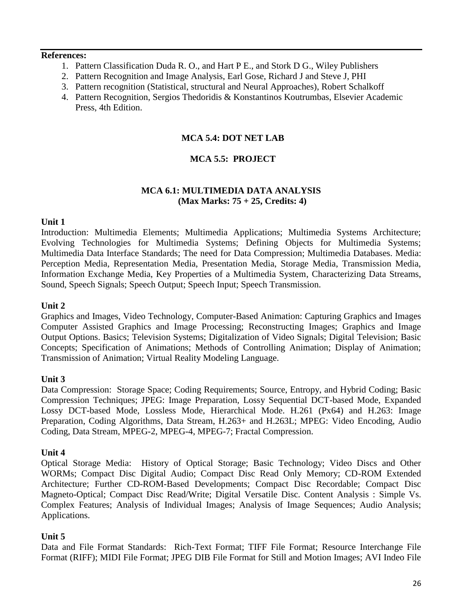#### **References:**

- 1. Pattern Classification Duda R. O., and Hart P E., and Stork D G., Wiley Publishers
- 2. Pattern Recognition and Image Analysis, Earl Gose, Richard J and Steve J, PHI
- 3. Pattern recognition (Statistical, structural and Neural Approaches), Robert Schalkoff
- 4. Pattern Recognition, Sergios Thedoridis & Konstantinos Koutrumbas, Elsevier Academic Press, 4th Edition.

# **MCA 5.4: DOT NET LAB**

# **MCA 5.5: PROJECT**

# **MCA 6.1: MULTIMEDIA DATA ANALYSIS (Max Marks: 75 + 25, Credits: 4)**

#### **Unit 1**

Introduction: Multimedia Elements; Multimedia Applications; Multimedia Systems Architecture; Evolving Technologies for Multimedia Systems; Defining Objects for Multimedia Systems; Multimedia Data Interface Standards; The need for Data Compression; Multimedia Databases. Media: Perception Media, Representation Media, Presentation Media, Storage Media, Transmission Media, Information Exchange Media, Key Properties of a Multimedia System, Characterizing Data Streams, Sound, Speech Signals; Speech Output; Speech Input; Speech Transmission.

#### **Unit 2**

Graphics and Images, Video Technology, Computer-Based Animation: Capturing Graphics and Images Computer Assisted Graphics and Image Processing; Reconstructing Images; Graphics and Image Output Options. Basics; Television Systems; Digitalization of Video Signals; Digital Television; Basic Concepts; Specification of Animations; Methods of Controlling Animation; Display of Animation; Transmission of Animation; Virtual Reality Modeling Language.

#### **Unit 3**

Data Compression: Storage Space; Coding Requirements; Source, Entropy, and Hybrid Coding; Basic Compression Techniques; JPEG: Image Preparation, Lossy Sequential DCT-based Mode, Expanded Lossy DCT-based Mode, Lossless Mode, Hierarchical Mode. H.261 (Px64) and H.263: Image Preparation, Coding Algorithms, Data Stream, H.263+ and H.263L; MPEG: Video Encoding, Audio Coding, Data Stream, MPEG-2, MPEG-4, MPEG-7; Fractal Compression.

#### **Unit 4**

Optical Storage Media: History of Optical Storage; Basic Technology; Video Discs and Other WORMs; Compact Disc Digital Audio; Compact Disc Read Only Memory; CD-ROM Extended Architecture; Further CD-ROM-Based Developments; Compact Disc Recordable; Compact Disc Magneto-Optical; Compact Disc Read/Write; Digital Versatile Disc. Content Analysis : Simple Vs. Complex Features; Analysis of Individual Images; Analysis of Image Sequences; Audio Analysis; Applications.

#### **Unit 5**

Data and File Format Standards: Rich-Text Format; TIFF File Format; Resource Interchange File Format (RIFF); MIDI File Format; JPEG DIB File Format for Still and Motion Images; AVI Indeo File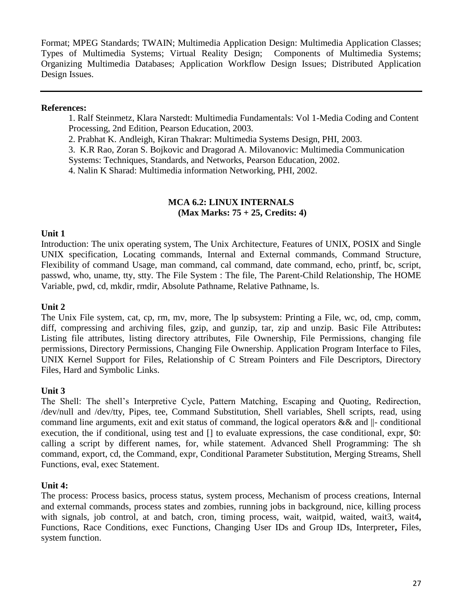Format; MPEG Standards; TWAIN; Multimedia Application Design: Multimedia Application Classes; Types of Multimedia Systems; Virtual Reality Design; Components of Multimedia Systems; Organizing Multimedia Databases; Application Workflow Design Issues; Distributed Application Design Issues.

#### **References:**

1. Ralf Steinmetz, Klara Narstedt: Multimedia Fundamentals: Vol 1-Media Coding and Content Processing, 2nd Edition, Pearson Education, 2003.

2. Prabhat K. Andleigh, Kiran Thakrar: Multimedia Systems Design, PHI, 2003.

3. K.R Rao, Zoran S. Bojkovic and Dragorad A. Milovanovic: Multimedia Communication

Systems: Techniques, Standards, and Networks, Pearson Education, 2002.

4. Nalin K Sharad: Multimedia information Networking, PHI, 2002.

#### **MCA 6.2: LINUX INTERNALS (Max Marks: 75 + 25, Credits: 4)**

#### **Unit 1**

Introduction: The unix operating system, The Unix Architecture, Features of UNIX, POSIX and Single UNIX specification, Locating commands, Internal and External commands, Command Structure, Flexibility of command Usage, man command, cal command, date command, echo, printf, bc, script, passwd, who, uname, tty, stty. The File System : The file, The Parent-Child Relationship, The HOME Variable, pwd, cd, mkdir, rmdir, Absolute Pathname, Relative Pathname, ls.

# **Unit 2**

The Unix File system, cat, cp, rm, mv, more, The lp subsystem: Printing a File, wc, od, cmp, comm, diff, compressing and archiving files, gzip, and gunzip, tar, zip and unzip. Basic File Attributes**:** Listing file attributes, listing directory attributes, File Ownership, File Permissions, changing file permissions, Directory Permissions, Changing File Ownership. Application Program Interface to Files, UNIX Kernel Support for Files, Relationship of C Stream Pointers and File Descriptors, Directory Files, Hard and Symbolic Links.

#### **Unit 3**

The Shell: The shell's Interpretive Cycle, Pattern Matching, Escaping and Quoting, Redirection, /dev/null and /dev/tty, Pipes, tee, Command Substitution, Shell variables, Shell scripts, read, using command line arguments, exit and exit status of command, the logical operators && and ||- conditional execution, the if conditional, using test and [] to evaluate expressions, the case conditional, expr, \$0: calling a script by different names, for, while statement. Advanced Shell Programming: The sh command, export, cd, the Command, expr, Conditional Parameter Substitution, Merging Streams, Shell Functions, eval, exec Statement.

#### **Unit 4:**

The process: Process basics, process status, system process, Mechanism of process creations, Internal and external commands, process states and zombies, running jobs in background, nice, killing process with signals, job control, at and batch, cron, timing process, wait, waitpid, waited, wait3, wait4, Functions, Race Conditions, exec Functions, Changing User IDs and Group IDs, Interpreter**,** Files, system function.